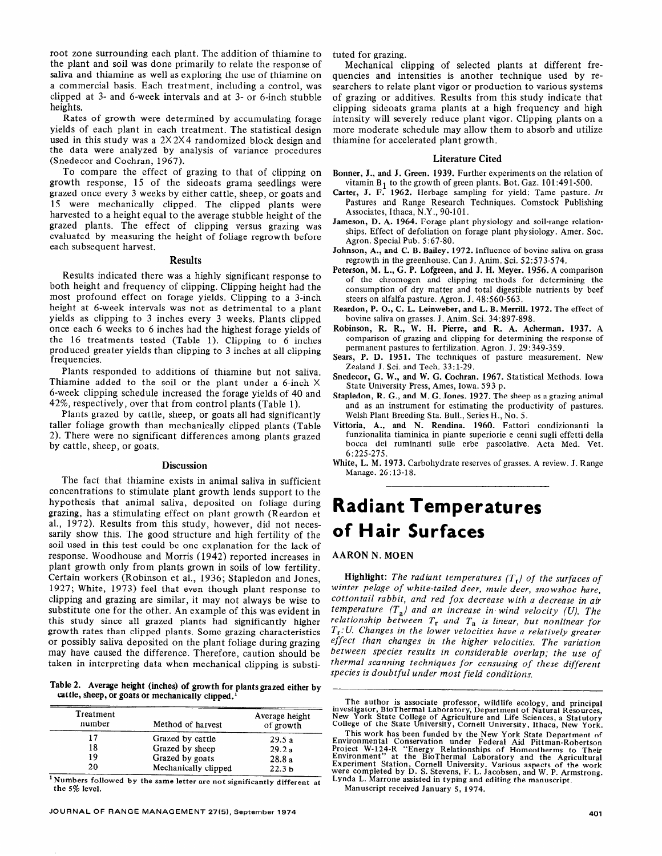# Radiant Temperatures of Hair Surfaces

## **AARON N. MOEN**

**Highlight:** *The radiant temperatures (T,) of the surfaces of winter pelage of white-tailed deer, mule deer, snowshoe hare, cottontail rabbit, and red fox decrease with a decrease in air temperature (T,) and an increase in wind velocity (U). The relationship between T, and T, is linear, but nonlinear for T,:U. Changes in the lower velocities have a relatively greater effect than changes in the higher velocities. The variation between species results in considerable overlap; the use of thermal scanning techniques for censusing of these different species is doubtful under most field conditions.* 

The author is associate professor, wildlife ecology, and principal investigator, BioThermal Laboratory, Department of Natural Resources<br>New York State College of Agriculture and Life Sciences, a Statutory<br>College of the State University, Cornell University, Ithaca, New York

This work has been funded by the New York State Department of Environmental Conservation under Federal Aid Pittman-Robertson Project W-124-R "Energy Relationships of Homeotherms to Their Environment" at the BioThermal Laboratory and the Agriculture Experiment Station, Cornell University. Various aspects of the work were completed by D. S. Stevens, F. L. Jacobsen, and W. P. Armstrong. Lynda L. Marrone assisted in typing and editing the manuscript.

Manuscript received January 5, 1974.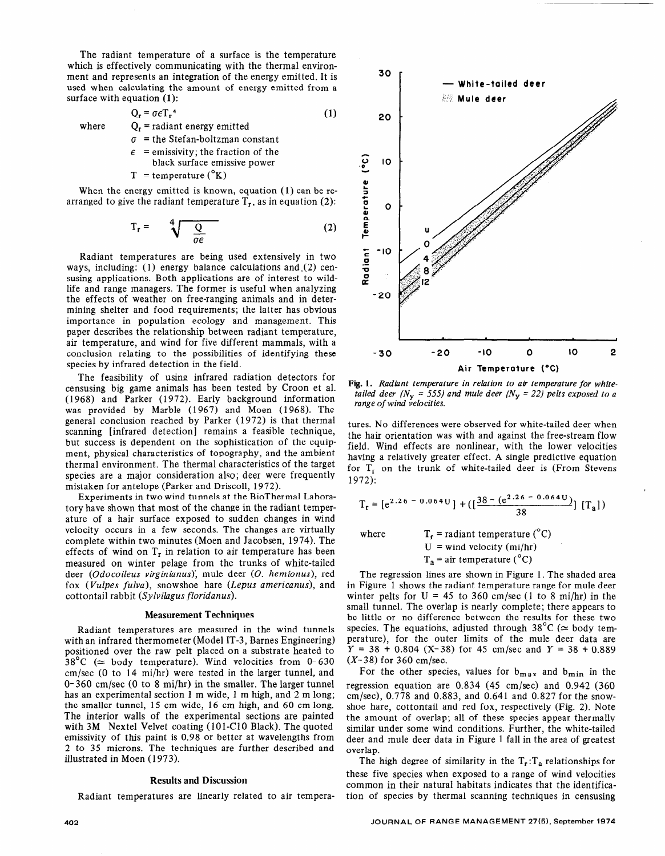The radiant temperature of a surface is the temperature which is effectively communicating with the thermal environment and represents an integration of the energy emitted. It is used when calculating the amount of energy emitted from a surface with equation **(1):** 

$$
Q_r = \sigma \epsilon T_r^4
$$
  
Q<sub>r</sub> = radiant energy emitted (1)

 $\sigma$  = the Stefan-boltzman constant

 $\epsilon$  = emissivity; the fraction of the

black surface emissive power

 $T =$  temperature  $({}^{\circ}K)$ 

where

When the energy emitted is known, equation (1) can be rearranged to give the radiant temperature  $T_r$ , as in equation (2):

$$
T_r = \sqrt[4]{\frac{Q}{\sigma \epsilon}}
$$
 (2)

Radiant temperatures are being used extensively in two ways, including: (1) energy balance calculations and (2) censusing applications. Both applications are of interest to wildlife and range managers. The former is useful when analyzing the effects of weather on free-ranging animals and in determining shelter and food requirements; the latter has obvious importance in population ecology and management. This paper describes the relationship between radiant temperature, air temperature, and wind for five different mammals, with a conclusion relating to the possibilities of identifying these species by infrared detection in the field.

The feasibility of using infrared radiation detectors for censusing big game animals has been tested by Croon et al. (1968) and Parker (1972). Early background information was provided by Marble (1967) and Moen (1968). The general conclusion reached by Parker (1972) is that thermal scanning [infrared detection] remains a feasible technique, but success is dependent on the sophistication of the equipment, physical characteristics of topography, and the ambient thermal environment. The thermal characteristics of the target species are a major consideration also; deer were frequently species are a major consideration and, deer were  $\sum_{n=0}^{\infty}$  and  $\sum_{n=0}^{\infty}$  in the BioThermal Labora-Million-

Experiments in two wind tunnels at the BioThermal Laboratory have shown that most of the change in the radiant temperature of a hair surface exposed to sudden changes in wind velocity occurs in a few seconds. The changes are virtually complete within two minutes (Moen and Jacobsen, 1974). The effects of wind on  $T_r$  in relation to air temperature has been measured on winter pelage from the trunks of white-tailed deer (Odocoileus virginianus), mule deer (O. hemionus), red fox *(Vulpes fulva)*, snowshoe hare *(Lepus americanus)*, and cottontail rabbit *(Sylvilagus floridanus)*.

### **Measurement Techniques**

 $R$  are measured in the wind tunnels are measured in the wind tunnels wind tunnels wind tunnels wind tunnels wind tunnels wind tunnels wind tunnels wind tunnels wind tunnels wind tunnels wind tunnels wind tunnels wind tun Radiant temperatures are measured in the wind tunnel with an infrared thermometer (Model IT-3, Barnes Engineering) positioned over the raw pelt placed on a substrate heated to 38<sup>°</sup>C ( $\simeq$  body temperature). Wind velocities from 0-630  $cm/sec$  (0 to 14 mi/hr) were tested in the larger tunnel, and  $0-360$  cm/sec (0 to 8 mi/hr) in the smaller. The larger tunnel has an experimental section  $1 \text{ m}$  wide,  $1 \text{ m}$  high, and  $2 \text{ m}$  long; the smaller tunnel, 15 cm wide, 16 cm high, and 60 cm long. The interior walls of the experimental sections are painted. with  $3M$  Nextel Velvet coating (101-C10 Black). The quoted emissivity of this paint is 0.98 or better at wavelengths from 2 to 35 microns. The techniques are further described and illustrated in Moen (1973).

### Results and Discussion

Radiant temperatures are linearly related to air tempera-



**Fig. 1.** *Radiant temperature in relation to ati temperature for whitetailed deer* ( $N_y$  = 555) and mule deer ( $N_y$  = 22) pelts exposed to a *range of wind velocities.* 

tures. No differences were observed for white-tailed deer when the hair orientation was with and against the free-stream flow field. Wind effects are nonlinear, with the lower velocities  $h_{\text{rel}}$  wind checks are nonimical, with the lower velocities for T, on the trunk of white-tailed deep is (From Stevens) for  $T_r$  on the trunk of white-tailed deer is (From Stevens 1972):

$$
T_r = [e^{2.26 - 0.064U}] + ([\frac{38 - (e^{2.26 - 0.064U})}{38}] [T_a])
$$

where  $T_r$  = radiant temperature (°C)  $U =$  wind velocity (mi/hr)  $T_a$  = air temperature (°C)

 $T$  regression lines are shown in Figure 1. The shown in Figure 1. The shaded area shown in Figure 1. The shaded area shaded area shaded are shown in Figure 1. The shaded area shaded area shown in Figure 1. The shaded are In Figure 1. The shaded area in Figure 1 shows the radiant temperature range for mule deer winter pelts for  $U = 45$  to 360 cm/sec (1 to 8 mi/hr) in the small tunnel. The overlap is nearly complete; there appears to be little or no difference between the results for these two species. The equations, adjusted through  $38^{\circ}$ C ( $\simeq$  body temperature), for the outer limits of the mule deer data are  $Y = 38 + 0.804$  (X-38) for 45 cm/sec and  $Y = 38 + 0.889$  $(X-38)$  for 360 cm/sec.

For the other species, values for  $b_{max}$  and  $b_{min}$  in the regression equation are  $0.834$  (45 cm/sec) and 0.942 (360 cm/sec),  $0.778$  and  $0.883$ , and  $0.641$  and  $0.827$  for the snowshoe hare, cottontail and red fox, respectively (Fig. 2). Note the amount of overlap; all of these species appear thermally similar under some wind conditions. Further, the white-tailed deer and mule deer data in Figure 1 fall in the area of greatest  $\text{trlap.}$ 

The high degree of similarity in the  $T_r$ :  $T_a$  relationships for these five species when exposed to a range of wind velocities common in their natural habitats indicates that the identification of species by thermal scanning techniques in censusing